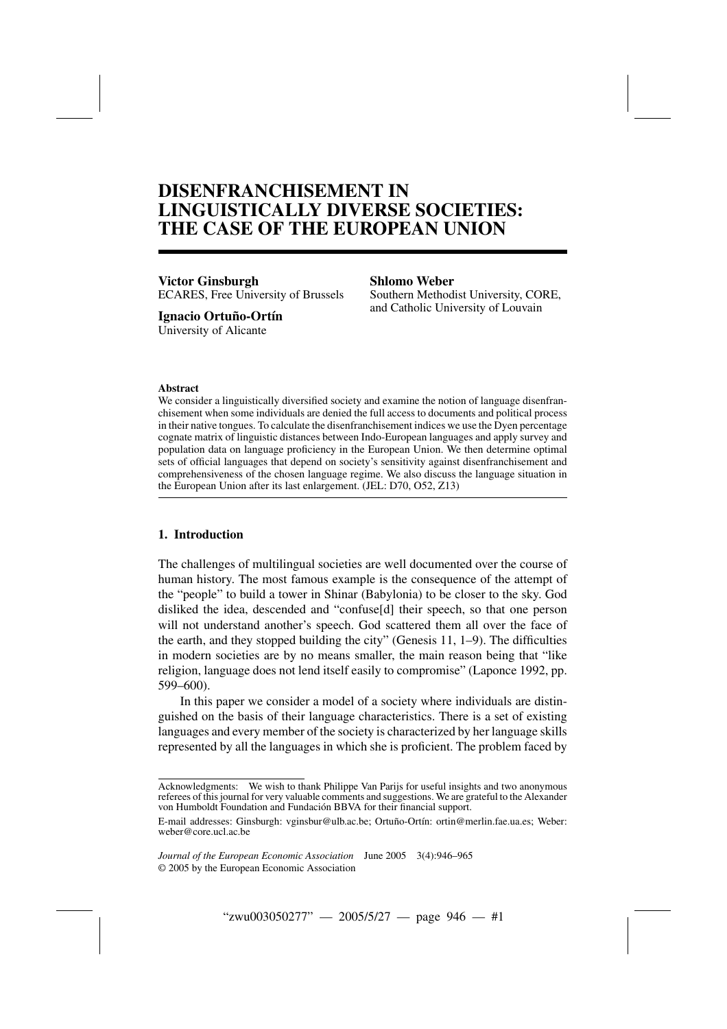# **DISENFRANCHISEMENT IN LINGUISTICALLY DIVERSE SOCIETIES: THE CASE OF THE EUROPEAN UNION**

**Victor Ginsburgh** ECARES, Free University of Brussels

**Ignacio Ortuño-Ortín**

University of Alicante

**Shlomo Weber**

Southern Methodist University, CORE, and Catholic University of Louvain

## **Abstract**

We consider a linguistically diversified society and examine the notion of language disenfranchisement when some individuals are denied the full access to documents and political process in their native tongues. To calculate the disenfranchisement indices we use the Dyen percentage cognate matrix of linguistic distances between Indo-European languages and apply survey and population data on language proficiency in the European Union. We then determine optimal sets of official languages that depend on society's sensitivity against disenfranchisement and comprehensiveness of the chosen language regime. We also discuss the language situation in the European Union after its last enlargement. (JEL: D70, O52, Z13)

## **1. Introduction**

The challenges of multilingual societies are well documented over the course of human history. The most famous example is the consequence of the attempt of the "people" to build a tower in Shinar (Babylonia) to be closer to the sky. God disliked the idea, descended and "confuse[d] their speech, so that one person will not understand another's speech. God scattered them all over the face of the earth, and they stopped building the city" (Genesis 11, 1–9). The difficulties in modern societies are by no means smaller, the main reason being that "like religion, language does not lend itself easily to compromise" (Laponce 1992, pp. 599–600).

In this paper we consider a model of a society where individuals are distinguished on the basis of their language characteristics. There is a set of existing languages and every member of the society is characterized by her language skills represented by all the languages in which she is proficient. The problem faced by

"zwu003050277" — 2005/5/27 — page 946 — #1

Acknowledgments: We wish to thank Philippe Van Parijs for useful insights and two anonymous referees of this journal for very valuable comments and suggestions. We are grateful to the Alexander von Humboldt Foundation and Fundación BBVA for their financial support.

E-mail addresses: Ginsburgh: vginsbur@ulb.ac.be; Ortuño-Ortín: ortin@merlin.fae.ua.es; Weber: weber@core.ucl.ac.be

*Journal of the European Economic Association* June 2005 3(4):946–965 © 2005 by the European Economic Association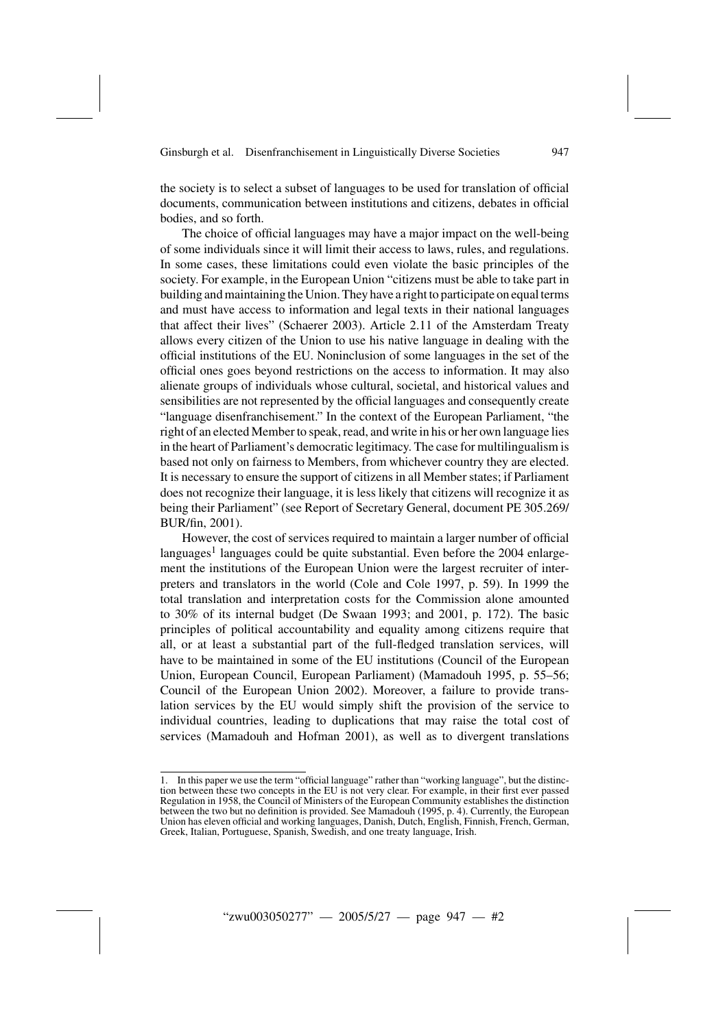the society is to select a subset of languages to be used for translation of official documents, communication between institutions and citizens, debates in official bodies, and so forth.

The choice of official languages may have a major impact on the well-being of some individuals since it will limit their access to laws, rules, and regulations. In some cases, these limitations could even violate the basic principles of the society. For example, in the European Union "citizens must be able to take part in building and maintaining the Union. They have a right to participate on equal terms and must have access to information and legal texts in their national languages that affect their lives" (Schaerer 2003). Article 2.11 of the Amsterdam Treaty allows every citizen of the Union to use his native language in dealing with the official institutions of the EU. Noninclusion of some languages in the set of the official ones goes beyond restrictions on the access to information. It may also alienate groups of individuals whose cultural, societal, and historical values and sensibilities are not represented by the official languages and consequently create "language disenfranchisement." In the context of the European Parliament, "the right of an elected Member to speak, read, and write in his or her own language lies in the heart of Parliament's democratic legitimacy. The case for multilingualism is based not only on fairness to Members, from whichever country they are elected. It is necessary to ensure the support of citizens in all Member states; if Parliament does not recognize their language, it is less likely that citizens will recognize it as being their Parliament" (see Report of Secretary General, document PE 305.269/ BUR/fin, 2001).

However, the cost of services required to maintain a larger number of official languages<sup>1</sup> languages could be quite substantial. Even before the 2004 enlargement the institutions of the European Union were the largest recruiter of interpreters and translators in the world (Cole and Cole 1997, p. 59). In 1999 the total translation and interpretation costs for the Commission alone amounted to 30% of its internal budget (De Swaan 1993; and 2001, p. 172). The basic principles of political accountability and equality among citizens require that all, or at least a substantial part of the full-fledged translation services, will have to be maintained in some of the EU institutions (Council of the European Union, European Council, European Parliament) (Mamadouh 1995, p. 55–56; Council of the European Union 2002). Moreover, a failure to provide translation services by the EU would simply shift the provision of the service to individual countries, leading to duplications that may raise the total cost of services (Mamadouh and Hofman 2001), as well as to divergent translations

"zwu003050277" — 2005/5/27 — page 947 — #2

<sup>1.</sup> In this paper we use the term "official language" rather than "working language", but the distinction between these two concepts in the EU is not very clear. For example, in their first ever passed Regulation in 1958, the Council of Ministers of the European Community establishes the distinction between the two but no definition is provided. See Mamadouh (1995, p. 4). Currently, the European Union has eleven official and working languages, Danish, Dutch, English, Finnish, French, German, Greek, Italian, Portuguese, Spanish, Swedish, and one treaty language, Irish.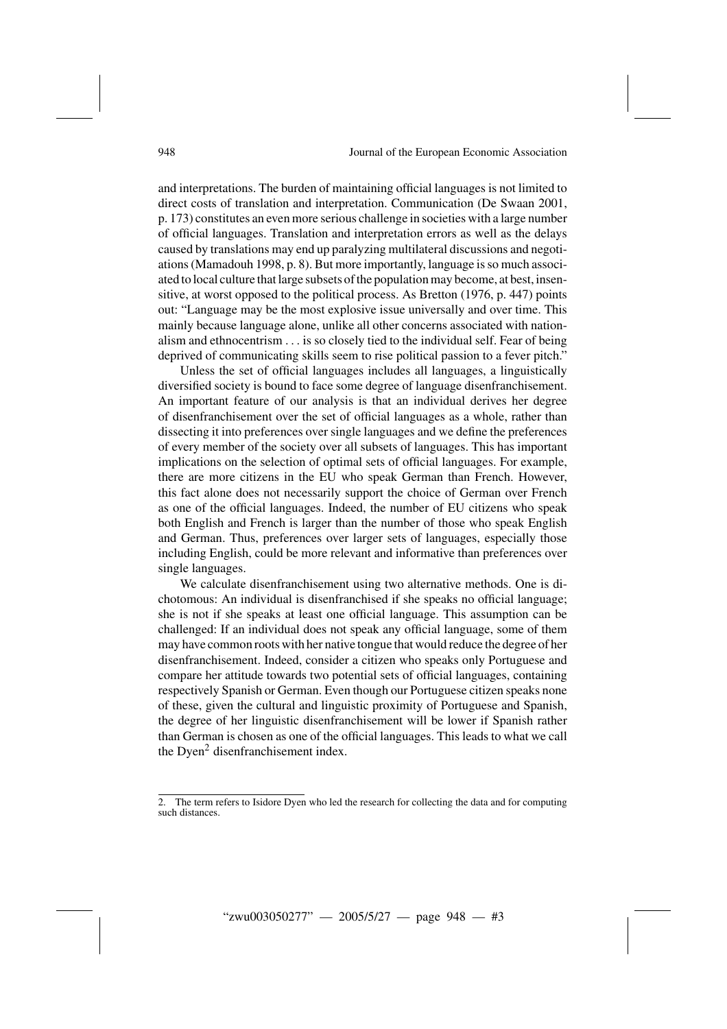and interpretations. The burden of maintaining official languages is not limited to direct costs of translation and interpretation. Communication (De Swaan 2001, p. 173) constitutes an even more serious challenge in societies with a large number of official languages. Translation and interpretation errors as well as the delays caused by translations may end up paralyzing multilateral discussions and negotiations (Mamadouh 1998, p. 8). But more importantly, language is so much associated to local culture that large subsets of the population may become, at best, insensitive, at worst opposed to the political process. As Bretton (1976, p. 447) points out: "Language may be the most explosive issue universally and over time. This mainly because language alone, unlike all other concerns associated with nationalism and ethnocentrism *...* is so closely tied to the individual self. Fear of being deprived of communicating skills seem to rise political passion to a fever pitch."

Unless the set of official languages includes all languages, a linguistically diversified society is bound to face some degree of language disenfranchisement. An important feature of our analysis is that an individual derives her degree of disenfranchisement over the set of official languages as a whole, rather than dissecting it into preferences over single languages and we define the preferences of every member of the society over all subsets of languages. This has important implications on the selection of optimal sets of official languages. For example, there are more citizens in the EU who speak German than French. However, this fact alone does not necessarily support the choice of German over French as one of the official languages. Indeed, the number of EU citizens who speak both English and French is larger than the number of those who speak English and German. Thus, preferences over larger sets of languages, especially those including English, could be more relevant and informative than preferences over single languages.

We calculate disenfranchisement using two alternative methods. One is dichotomous: An individual is disenfranchised if she speaks no official language; she is not if she speaks at least one official language. This assumption can be challenged: If an individual does not speak any official language, some of them may have common roots with her native tongue that would reduce the degree of her disenfranchisement. Indeed, consider a citizen who speaks only Portuguese and compare her attitude towards two potential sets of official languages, containing respectively Spanish or German. Even though our Portuguese citizen speaks none of these, given the cultural and linguistic proximity of Portuguese and Spanish, the degree of her linguistic disenfranchisement will be lower if Spanish rather than German is chosen as one of the official languages. This leads to what we call the Dyen<sup>2</sup> disenfranchisement index.

<sup>2.</sup> The term refers to Isidore Dyen who led the research for collecting the data and for computing such distances.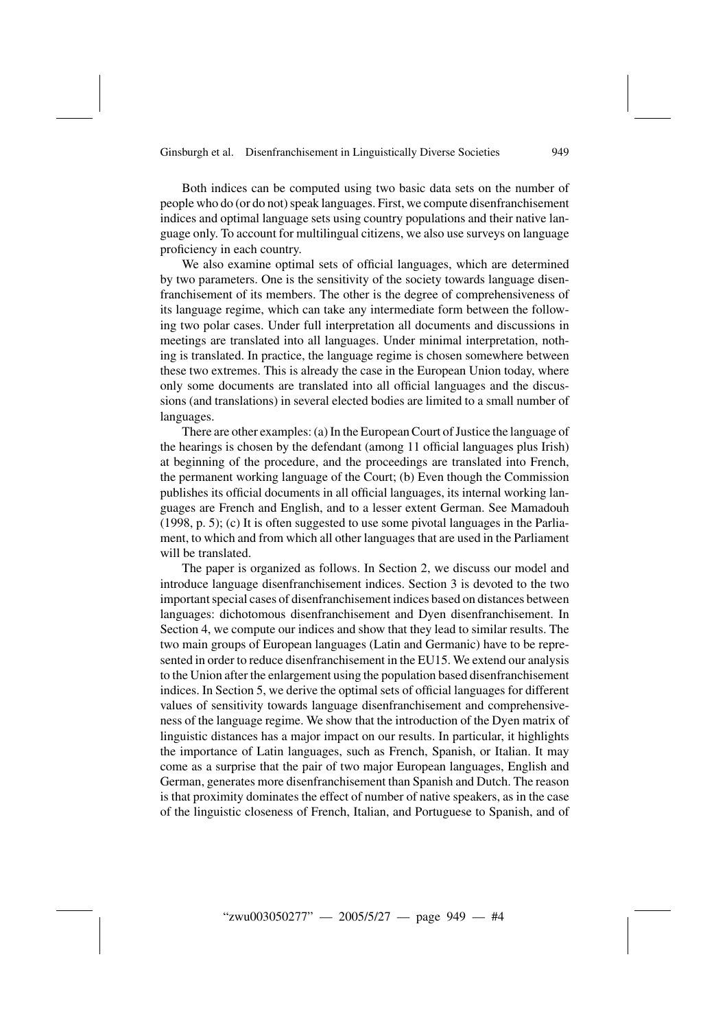Both indices can be computed using two basic data sets on the number of people who do (or do not) speak languages. First, we compute disenfranchisement indices and optimal language sets using country populations and their native language only. To account for multilingual citizens, we also use surveys on language proficiency in each country.

We also examine optimal sets of official languages, which are determined by two parameters. One is the sensitivity of the society towards language disenfranchisement of its members. The other is the degree of comprehensiveness of its language regime, which can take any intermediate form between the following two polar cases. Under full interpretation all documents and discussions in meetings are translated into all languages. Under minimal interpretation, nothing is translated. In practice, the language regime is chosen somewhere between these two extremes. This is already the case in the European Union today, where only some documents are translated into all official languages and the discussions (and translations) in several elected bodies are limited to a small number of languages.

There are other examples: (a) In the European Court of Justice the language of the hearings is chosen by the defendant (among 11 official languages plus Irish) at beginning of the procedure, and the proceedings are translated into French, the permanent working language of the Court; (b) Even though the Commission publishes its official documents in all official languages, its internal working languages are French and English, and to a lesser extent German. See Mamadouh (1998, p. 5); (c) It is often suggested to use some pivotal languages in the Parliament, to which and from which all other languages that are used in the Parliament will be translated.

The paper is organized as follows. In Section 2, we discuss our model and introduce language disenfranchisement indices. Section 3 is devoted to the two important special cases of disenfranchisement indices based on distances between languages: dichotomous disenfranchisement and Dyen disenfranchisement. In Section 4, we compute our indices and show that they lead to similar results. The two main groups of European languages (Latin and Germanic) have to be represented in order to reduce disenfranchisement in the EU15. We extend our analysis to the Union after the enlargement using the population based disenfranchisement indices. In Section 5, we derive the optimal sets of official languages for different values of sensitivity towards language disenfranchisement and comprehensiveness of the language regime. We show that the introduction of the Dyen matrix of linguistic distances has a major impact on our results. In particular, it highlights the importance of Latin languages, such as French, Spanish, or Italian. It may come as a surprise that the pair of two major European languages, English and German, generates more disenfranchisement than Spanish and Dutch. The reason is that proximity dominates the effect of number of native speakers, as in the case of the linguistic closeness of French, Italian, and Portuguese to Spanish, and of

"zwu003050277" — 2005/5/27 — page 949 — #4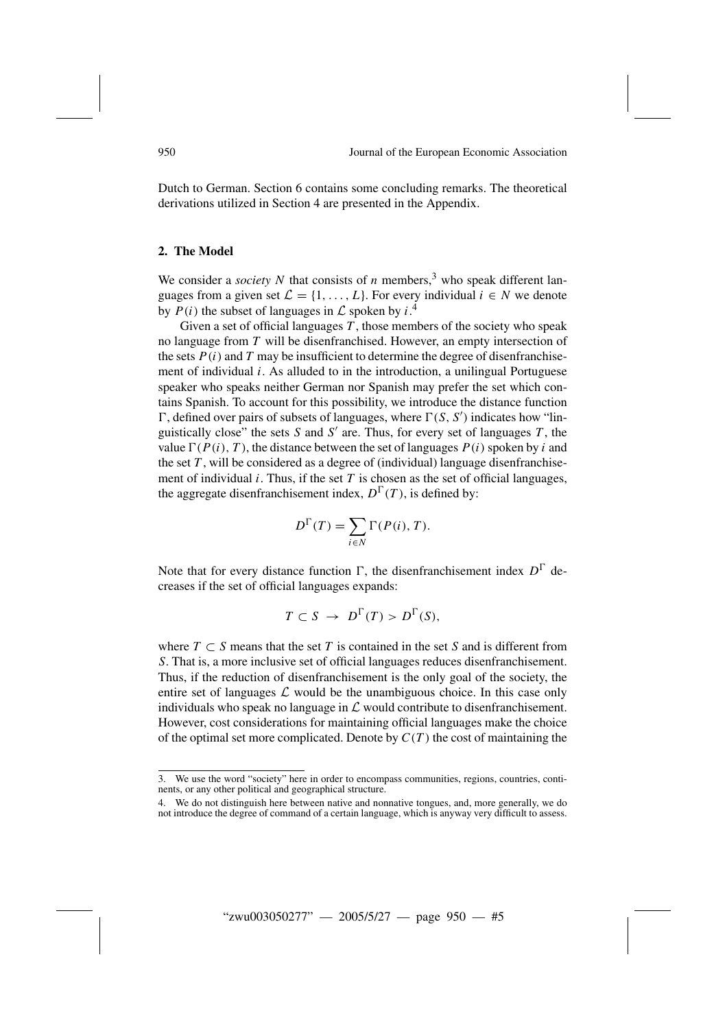Dutch to German. Section 6 contains some concluding remarks. The theoretical derivations utilized in Section 4 are presented in the Appendix.

## **2. The Model**

We consider a *society*  $N$  that consists of  $n$  members,<sup>3</sup> who speak different languages from a given set  $\mathcal{L} = \{1, \ldots, L\}$ . For every individual  $i \in N$  we denote by  $P(i)$  the subset of languages in  $\mathcal L$  spoken by *i*.<sup>4</sup>

Given a set of official languages *T* , those members of the society who speak no language from *T* will be disenfranchised. However, an empty intersection of the sets  $P(i)$  and  $T$  may be insufficient to determine the degree of disenfranchisement of individual *i*. As alluded to in the introduction, a unilingual Portuguese speaker who speaks neither German nor Spanish may prefer the set which contains Spanish. To account for this possibility, we introduce the distance function  $\Gamma$ , defined over pairs of subsets of languages, where  $\Gamma(S, S')$  indicates how "linguistically close" the sets *S* and *S'* are. Thus, for every set of languages  $T$ , the value  $\Gamma(P(i), T)$ , the distance between the set of languages  $P(i)$  spoken by *i* and the set *T* , will be considered as a degree of (individual) language disenfranchisement of individual  $i$ . Thus, if the set  $T$  is chosen as the set of official languages, the aggregate disenfranchisement index,  $D^{\Gamma}(T)$ , is defined by:

$$
D^{\Gamma}(T) = \sum_{i \in N} \Gamma(P(i), T).
$$

Note that for every distance function  $\Gamma$ , the disenfranchisement index  $D^{\Gamma}$  decreases if the set of official languages expands:

$$
T \subset S \ \to \ D^{\Gamma}(T) > D^{\Gamma}(S),
$$

where  $T \subset S$  means that the set *T* is contained in the set *S* and is different from *S*. That is, a more inclusive set of official languages reduces disenfranchisement. Thus, if the reduction of disenfranchisement is the only goal of the society, the entire set of languages  $\mathcal L$  would be the unambiguous choice. In this case only individuals who speak no language in  $\mathcal L$  would contribute to disenfranchisement. However, cost considerations for maintaining official languages make the choice of the optimal set more complicated. Denote by  $C(T)$  the cost of maintaining the

<sup>3.</sup> We use the word "society" here in order to encompass communities, regions, countries, continents, or any other political and geographical structure.

<sup>4.</sup> We do not distinguish here between native and nonnative tongues, and, more generally, we do not introduce the degree of command of a certain language, which is anyway very difficult to assess.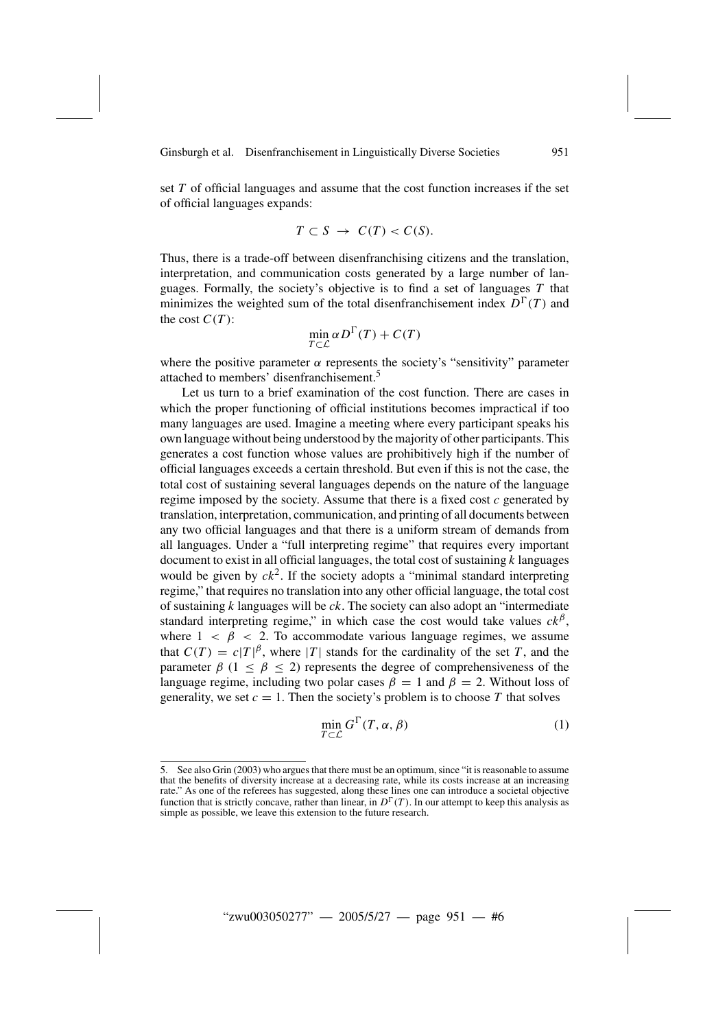set *T* of official languages and assume that the cost function increases if the set of official languages expands:

$$
T \subset S \ \to \ C(T) < C(S).
$$

Thus, there is a trade-off between disenfranchising citizens and the translation, interpretation, and communication costs generated by a large number of languages. Formally, the society's objective is to find a set of languages *T* that minimizes the weighted sum of the total disenfranchisement index  $D^{\Gamma}(T)$  and the cost  $C(T)$ :

$$
\min_{T \subset \mathcal{L}} \alpha D^{\Gamma}(T) + C(T)
$$

where the positive parameter  $\alpha$  represents the society's "sensitivity" parameter attached to members' disenfranchisement.<sup>5</sup>

Let us turn to a brief examination of the cost function. There are cases in which the proper functioning of official institutions becomes impractical if too many languages are used. Imagine a meeting where every participant speaks his own language without being understood by the majority of other participants. This generates a cost function whose values are prohibitively high if the number of official languages exceeds a certain threshold. But even if this is not the case, the total cost of sustaining several languages depends on the nature of the language regime imposed by the society. Assume that there is a fixed cost *c* generated by translation, interpretation, communication, and printing of all documents between any two official languages and that there is a uniform stream of demands from all languages. Under a "full interpreting regime" that requires every important document to exist in all official languages, the total cost of sustaining *k* languages would be given by  $ck^2$ . If the society adopts a "minimal standard interpreting regime," that requires no translation into any other official language, the total cost of sustaining *k* languages will be *ck*. The society can also adopt an "intermediate standard interpreting regime," in which case the cost would take values  $ck^{\beta}$ , where  $1 < \beta < 2$ . To accommodate various language regimes, we assume that  $C(T) = c|T|^{\beta}$ , where |*T*| stands for the cardinality of the set *T*, and the parameter  $\beta$  (1  $\leq \beta \leq$  2) represents the degree of comprehensiveness of the language regime, including two polar cases  $\beta = 1$  and  $\beta = 2$ . Without loss of generality, we set  $c = 1$ . Then the society's problem is to choose T that solves

$$
\min_{T \subset \mathcal{L}} G^{\Gamma}(T, \alpha, \beta) \tag{1}
$$

See also Grin (2003) who argues that there must be an optimum, since "it is reasonable to assume that the benefits of diversity increase at a decreasing rate, while its costs increase at an increasing rate." As one of the referees has suggested, along these lines one can introduce a societal objective function that is strictly concave, rather than linear, in  $D^{\Gamma}(T)$ . In our attempt to keep this analysis as simple as possible, we leave this extension to the future research.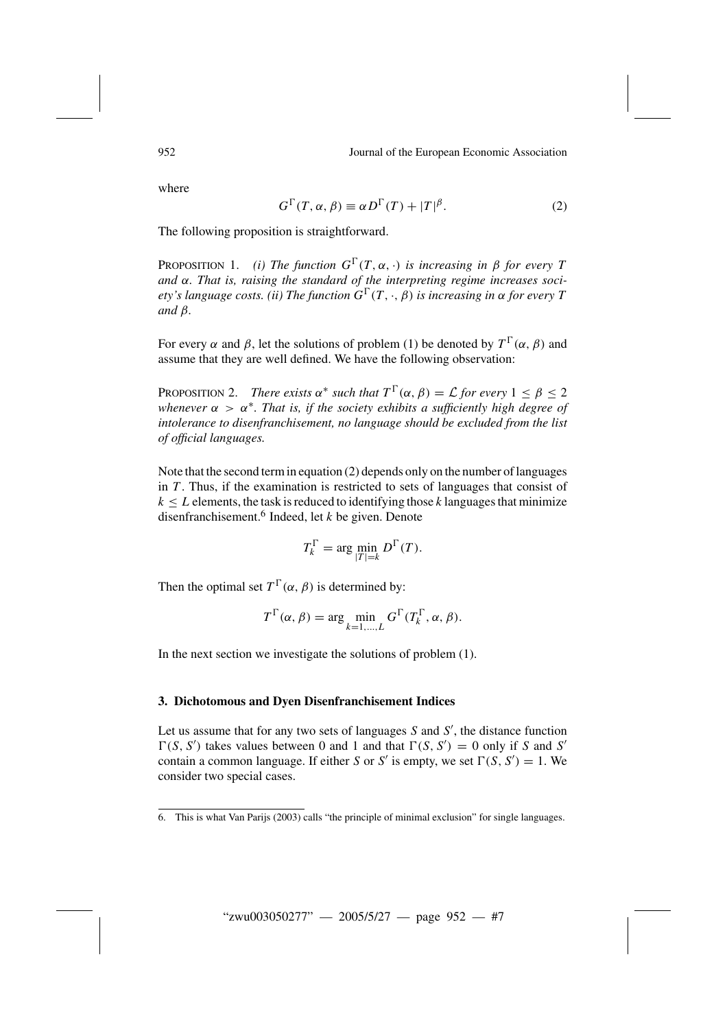952 Journal of the European Economic Association

where

$$
G^{\Gamma}(T, \alpha, \beta) \equiv \alpha D^{\Gamma}(T) + |T|^{\beta}.
$$
 (2)

The following proposition is straightforward.

PROPOSITION 1. *(i) The function*  $G^{\Gamma}(T, \alpha, \cdot)$  *is increasing in*  $\beta$  *for every*  $T$ *and α. That is, raising the standard of the interpreting regime increases society's language costs. (ii) The function*  $G^{\Gamma}(T, \cdot, \beta)$  *is increasing in*  $\alpha$  *for every*  $T$ *and β.*

For every  $\alpha$  and  $\beta$ , let the solutions of problem (1) be denoted by  $T^{\Gamma}(\alpha, \beta)$  and assume that they are well defined. We have the following observation:

PROPOSITION 2. *There exists*  $\alpha^*$  *such that*  $T^{\Gamma}(\alpha, \beta) = \mathcal{L}$  *for every*  $1 \leq \beta \leq 2$ *whenever*  $\alpha > \alpha^*$ *. That is, if the society exhibits a sufficiently high degree of intolerance to disenfranchisement, no language should be excluded from the list of official languages.*

Note that the second term in equation (2) depends only on the number of languages in *T* . Thus, if the examination is restricted to sets of languages that consist of  $k \leq L$  elements, the task is reduced to identifying those *k* languages that minimize disenfranchisement.6 Indeed, let *k* be given. Denote

$$
T_k^{\Gamma} = \arg \min_{|T|=k} D^{\Gamma}(T).
$$

Then the optimal set  $T^{\Gamma}(\alpha, \beta)$  is determined by:

$$
T^{\Gamma}(\alpha, \beta) = \arg \min_{k=1,\dots,L} G^{\Gamma}(T_k^{\Gamma}, \alpha, \beta).
$$

In the next section we investigate the solutions of problem (1).

## **3. Dichotomous and Dyen Disenfranchisement Indices**

Let us assume that for any two sets of languages  $S$  and  $S'$ , the distance function  $\Gamma(S, S')$  takes values between 0 and 1 and that  $\Gamma(S, S') = 0$  only if *S* and *S'* contain a common language. If either *S* or *S'* is empty, we set  $\Gamma(S, S') = 1$ . We consider two special cases.

<sup>6.</sup> This is what Van Parijs (2003) calls "the principle of minimal exclusion" for single languages.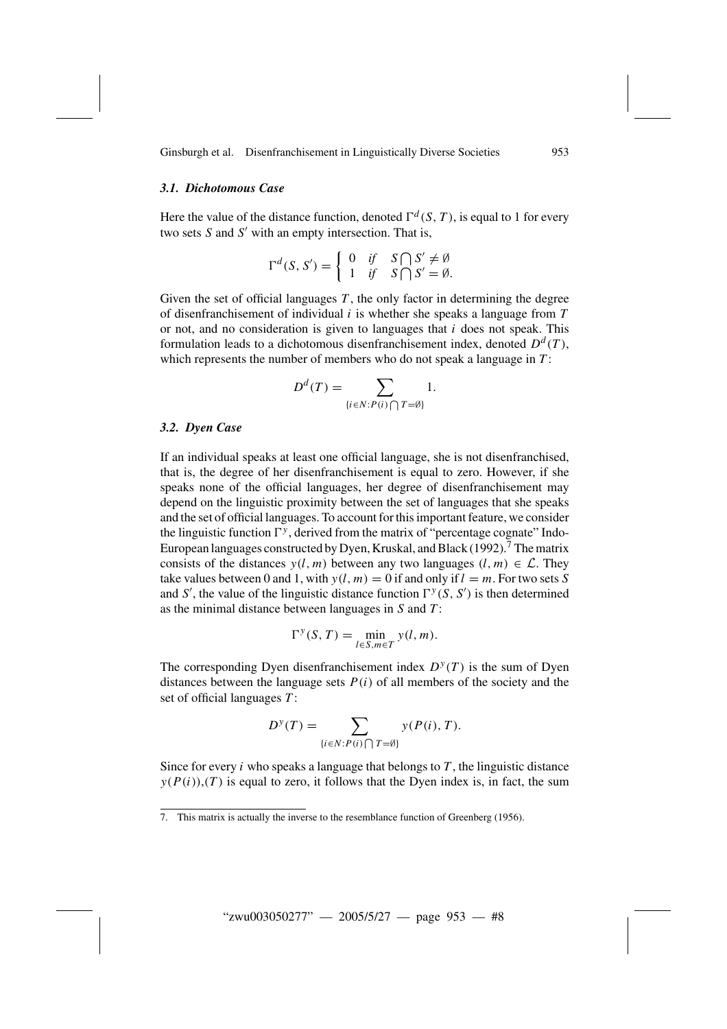Ginsburgh et al. Disenfranchisement in Linguistically Diverse Societies 953

#### *3.1. Dichotomous Case*

Here the value of the distance function, denoted  $\Gamma^d(S, T)$ , is equal to 1 for every two sets  $S$  and  $S'$  with an empty intersection. That is,

$$
\Gamma^d(S, S') = \begin{cases} 0 & \text{if } S \cap S' \neq \emptyset \\ 1 & \text{if } S \cap S' = \emptyset. \end{cases}
$$

Given the set of official languages *T* , the only factor in determining the degree of disenfranchisement of individual *i* is whether she speaks a language from *T* or not, and no consideration is given to languages that *i* does not speak. This formulation leads to a dichotomous disenfranchisement index, denoted  $D^d(T)$ , which represents the number of members who do not speak a language in *T* :

$$
D^{d}(T) = \sum_{\{i \in N : P(i) \cap T = \emptyset\}} 1.
$$

#### *3.2. Dyen Case*

If an individual speaks at least one official language, she is not disenfranchised, that is, the degree of her disenfranchisement is equal to zero. However, if she speaks none of the official languages, her degree of disenfranchisement may depend on the linguistic proximity between the set of languages that she speaks and the set of official languages. To account for this important feature, we consider the linguistic function  $\Gamma$ <sup>y</sup>, derived from the matrix of "percentage cognate" Indo-European languages constructed by Dyen, Kruskal, and Black (1992).<sup>7</sup> The matrix consists of the distances  $y(l, m)$  between any two languages  $(l, m) \in \mathcal{L}$ . They take values between 0 and 1, with  $y(l, m) = 0$  if and only if  $l = m$ . For two sets *S* and S', the value of the linguistic distance function  $\Gamma^{y}(S, S')$  is then determined as the minimal distance between languages in *S* and *T* :

$$
\Gamma^{y}(S, T) = \min_{l \in S, m \in T} y(l, m).
$$

The corresponding Dyen disenfranchisement index  $D^{y}(T)$  is the sum of Dyen distances between the language sets  $P(i)$  of all members of the society and the set of official languages *T* :

$$
D^{y}(T) = \sum_{\{i \in N: P(i) \cap T = \emptyset\}} y(P(i), T).
$$

Since for every *i* who speaks a language that belongs to *T* , the linguistic distance  $y(P(i)),$  $(T)$  is equal to zero, it follows that the Dyen index is, in fact, the sum

<sup>7.</sup> This matrix is actually the inverse to the resemblance function of Greenberg (1956).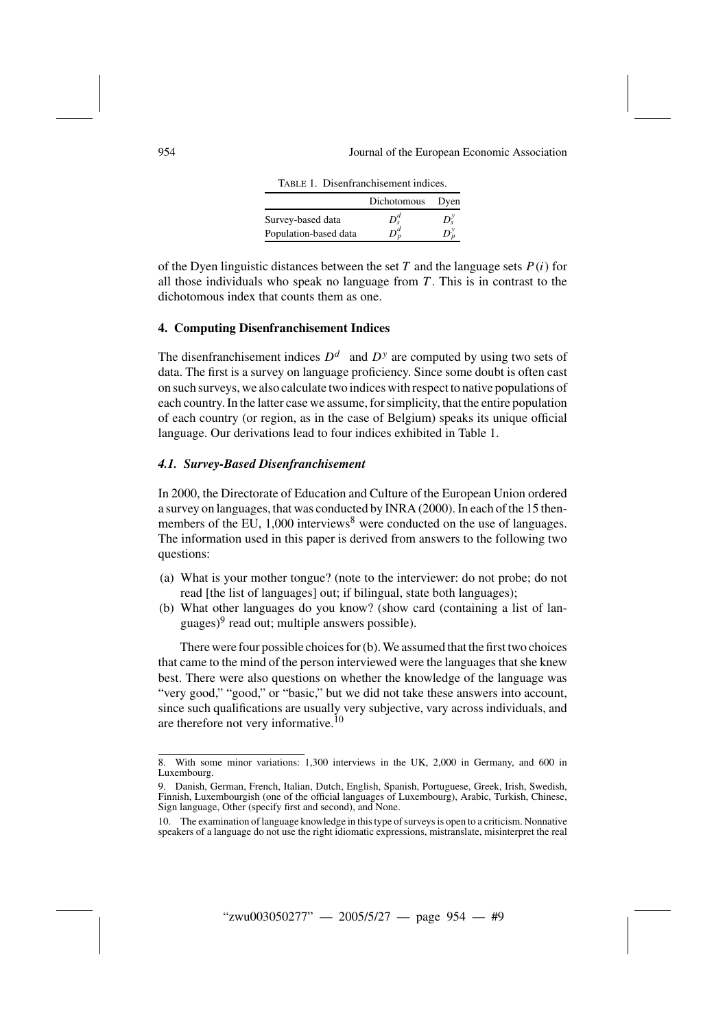954 Journal of the European Economic Association

|                       | Dichotomous | Dven        |
|-----------------------|-------------|-------------|
| Survey-based data     | $D^a_{s}$   | $D_{s}^{y}$ |
| Population-based data |             |             |

TABLE 1. Disenfranchisement indices.

of the Dyen linguistic distances between the set  $T$  and the language sets  $P(i)$  for all those individuals who speak no language from *T* . This is in contrast to the dichotomous index that counts them as one.

## **4. Computing Disenfranchisement Indices**

The disenfranchisement indices  $D^d$  and  $D^y$  are computed by using two sets of data. The first is a survey on language proficiency. Since some doubt is often cast on such surveys, we also calculate two indices with respect to native populations of each country. In the latter case we assume, for simplicity, that the entire population of each country (or region, as in the case of Belgium) speaks its unique official language. Our derivations lead to four indices exhibited in Table 1.

## *4.1. Survey-Based Disenfranchisement*

In 2000, the Directorate of Education and Culture of the European Union ordered a survey on languages, that was conducted by INRA (2000). In each of the 15 thenmembers of the EU,  $1,000$  interviews<sup>8</sup> were conducted on the use of languages. The information used in this paper is derived from answers to the following two questions:

- (a) What is your mother tongue? (note to the interviewer: do not probe; do not read [the list of languages] out; if bilingual, state both languages);
- (b) What other languages do you know? (show card (containing a list of languages) $9$  read out; multiple answers possible).

There were four possible choices for (b). We assumed that the first two choices that came to the mind of the person interviewed were the languages that she knew best. There were also questions on whether the knowledge of the language was "very good," "good," or "basic," but we did not take these answers into account, since such qualifications are usually very subjective, vary across individuals, and are therefore not very informative.10

<sup>8.</sup> With some minor variations: 1,300 interviews in the UK, 2,000 in Germany, and 600 in Luxembourg.

<sup>9.</sup> Danish, German, French, Italian, Dutch, English, Spanish, Portuguese, Greek, Irish, Swedish, Finnish, Luxembourgish (one of the official languages of Luxembourg), Arabic, Turkish, Chinese, Sign language, Other (specify first and second), and None.

<sup>10.</sup> The examination of language knowledge in this type of surveys is open to a criticism. Nonnative speakers of a language do not use the right idiomatic expressions, mistranslate, misinterpret the real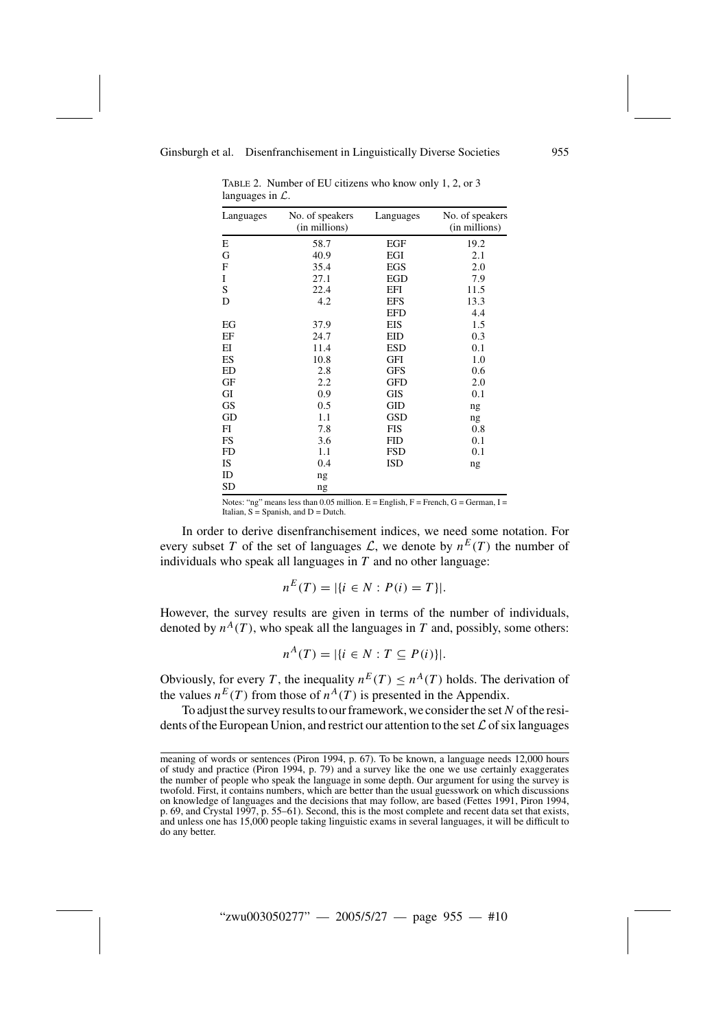Ginsburgh et al. Disenfranchisement in Linguistically Diverse Societies 955

| Languages | No. of speakers<br>(in millions) | Languages  | No. of speakers<br>(in millions) |  |  |
|-----------|----------------------------------|------------|----------------------------------|--|--|
| E         | 58.7                             | EGF        | 19.2                             |  |  |
| G         | 40.9                             | EGI        | 2.1                              |  |  |
| F         | 35.4                             | EGS        | 2.0                              |  |  |
| I         | 27.1                             | EGD        | 7.9                              |  |  |
| S         | 22.4                             | EFI        | 11.5                             |  |  |
| D         | 4.2                              | <b>EFS</b> | 13.3                             |  |  |
|           |                                  | <b>EFD</b> | 4.4                              |  |  |
| EG        | 37.9                             | EIS        | 1.5                              |  |  |
| EF        | 24.7                             | EID        | 0.3                              |  |  |
| ΕI        | 11.4                             | ESD        | 0.1                              |  |  |
| ES        | 10.8                             | GFI        | 1.0                              |  |  |
| ED        | 2.8                              | <b>GFS</b> | 0.6                              |  |  |
| GF        | 2.2                              | <b>GFD</b> | 2.0                              |  |  |
| GI        | 0.9                              | <b>GIS</b> | 0.1                              |  |  |
| GS        | 0.5                              | GID        | ng                               |  |  |
| GD        | 1.1                              | <b>GSD</b> | ng                               |  |  |
| FI        | 7.8                              | <b>FIS</b> | 0.8                              |  |  |
| FS        | 3.6                              | <b>FID</b> | 0.1                              |  |  |
| FD        | 1.1                              | <b>FSD</b> | 0.1                              |  |  |
| IS        | 0.4                              | ISD        | ng                               |  |  |
| ID        | ng                               |            |                                  |  |  |
| <b>SD</b> | ng                               |            |                                  |  |  |

Table 2. Number of EU citizens who know only 1, 2, or 3 languages in  $\mathcal{L}$ .

Notes: "ng" means less than 0.05 million.  $E =$  English,  $F =$  French,  $G =$  German,  $I =$ Italian,  $S =$  Spanish, and  $D =$  Dutch.

In order to derive disenfranchisement indices, we need some notation. For every subset *T* of the set of languages  $\mathcal{L}$ , we denote by  $n^E(T)$  the number of individuals who speak all languages in *T* and no other language:

$$
n^{E}(T) = |\{i \in N : P(i) = T\}|.
$$

However, the survey results are given in terms of the number of individuals, denoted by  $n^{A}(T)$ , who speak all the languages in *T* and, possibly, some others:

$$
n^{A}(T) = |\{i \in N : T \subseteq P(i)\}|.
$$

Obviously, for every *T*, the inequality  $n^{E}(T) \leq n^{A}(T)$  holds. The derivation of the values  $n^E(T)$  from those of  $n^A(T)$  is presented in the Appendix.

To adjust the survey results to our framework, we consider the set*N* of the residents of the European Union, and restrict our attention to the set  $\mathcal L$  of six languages

meaning of words or sentences (Piron 1994, p. 67). To be known, a language needs 12,000 hours of study and practice (Piron 1994, p. 79) and a survey like the one we use certainly exaggerates the number of people who speak the language in some depth. Our argument for using the survey is twofold. First, it contains numbers, which are better than the usual guesswork on which discussions on knowledge of languages and the decisions that may follow, are based (Fettes 1991, Piron 1994, p. 69, and Crystal 1997, p. 55–61). Second, this is the most complete and recent data set that exists, and unless one has 15,000 people taking linguistic exams in several languages, it will be difficult to do any better.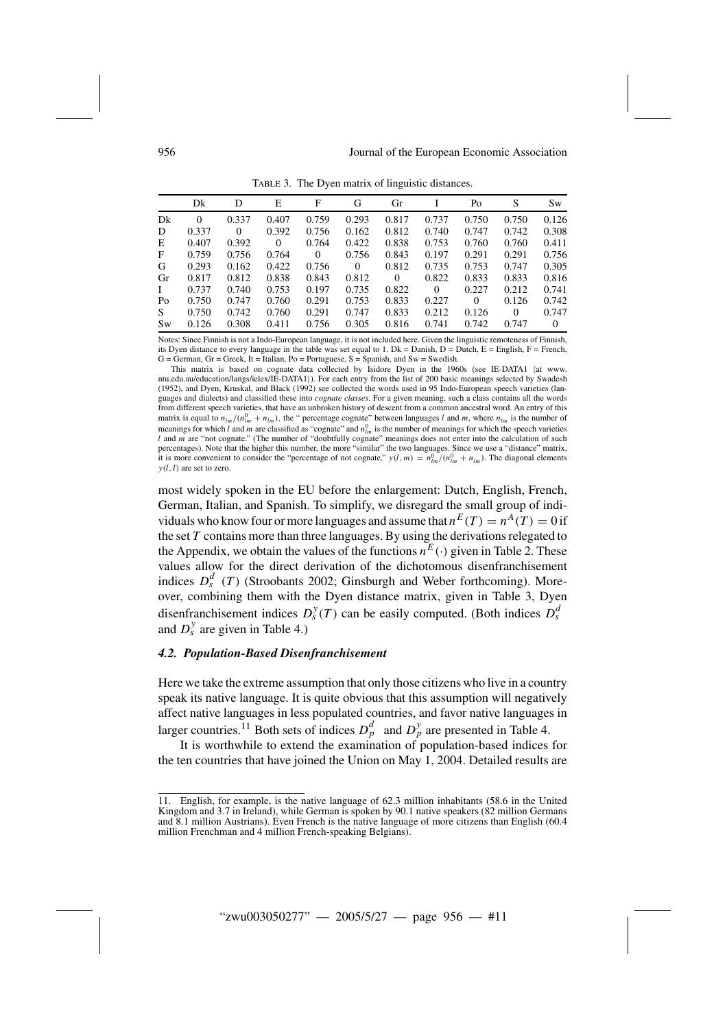| Dk       | D        | E        | F        | G        | Gr       |          | Po       | S        | Sw       |
|----------|----------|----------|----------|----------|----------|----------|----------|----------|----------|
| $\Omega$ | 0.337    | 0.407    | 0.759    | 0.293    | 0.817    | 0.737    | 0.750    | 0.750    | 0.126    |
| 0.337    | $\Omega$ | 0.392    | 0.756    | 0.162    | 0.812    | 0.740    | 0.747    | 0.742    | 0.308    |
| 0.407    | 0.392    | $\Omega$ | 0.764    | 0.422    | 0.838    | 0.753    | 0.760    | 0.760    | 0.411    |
| 0.759    | 0.756    | 0.764    | $\Omega$ | 0.756    | 0.843    | 0.197    | 0.291    | 0.291    | 0.756    |
| 0.293    | 0.162    | 0.422    | 0.756    | $\Omega$ | 0.812    | 0.735    | 0.753    | 0.747    | 0.305    |
| 0.817    | 0.812    | 0.838    | 0.843    | 0.812    | $\Omega$ | 0.822    | 0.833    | 0.833    | 0.816    |
| 0.737    | 0.740    | 0.753    | 0.197    | 0.735    | 0.822    | $\Omega$ | 0.227    | 0.212    | 0.741    |
| 0.750    | 0.747    | 0.760    | 0.291    | 0.753    | 0.833    | 0.227    | $\Omega$ | 0.126    | 0.742    |
| 0.750    | 0.742    | 0.760    | 0.291    | 0.747    | 0.833    | 0.212    | 0.126    | $\Omega$ | 0.747    |
| 0.126    | 0.308    | 0.411    | 0.756    | 0.305    | 0.816    | 0.741    | 0.742    | 0.747    | $\theta$ |
|          |          |          |          |          |          |          |          |          |          |

Table 3. The Dyen matrix of linguistic distances.

Notes: Since Finnish is not a Indo-European language, it is not included here. Given the linguistic remoteness of Finnish, its Dyen distance to every language in the table was set equal to 1. Dk = Danish,  $D =$  Dutch,  $E =$  English,  $F =$  French,  $G = German$ ,  $Gr = Greek$ , It = Italian,  $Po = Portuguese$ ,  $S = Spanish$ , and  $Sw = Swedish$ .

This matrix is based on cognate data collected by Isidore Dyen in the 1960s (see IE-DATA1 (at www. ntu.edu.au/education/langs/ielex/IE-DATA1). For each entry from the list of 200 basic meanings selected by Swadesh (1952), and Dyen, Kruskal, and Black (1992) see collected the words used in 95 Indo-European speech varieties (languages and dialects) and classified these into *cognate classes*. For a given meaning, such a class contains all the words from different speech varieties, that have an unbroken history of descent from a common ancestral word. An entry of this matrix is equal to  $n_{lm}/(n_{lm}^0 + n_{lm})$ , the " percentage cognate" between languages *l* and *m*, where  $n_{lm}$  is the number of meanings for which *l* and *m* are classified as "cognate" and  $n_{lm}^0$  is the number of meanings for which the speech varieties *l* and *m* are "not cognate." (The number of "doubtfully cognate" meanings does not enter into the calculation of such percentages). Note that the higher this number, the more "similar" the two languages. Since we use a *y(l, l)* are set to zero.

most widely spoken in the EU before the enlargement: Dutch, English, French, German, Italian, and Spanish. To simplify, we disregard the small group of individuals who know four or more languages and assume that  $n^{E}(T) = n^{A}(T) = 0$  if the set *T* contains more than three languages. By using the derivations relegated to the Appendix, we obtain the values of the functions  $n^E(\cdot)$  given in Table 2. These values allow for the direct derivation of the dichotomous disenfranchisement indices  $D_s^d$  (*T*) (Stroobants 2002; Ginsburgh and Weber forthcoming). Moreover, combining them with the Dyen distance matrix, given in Table 3, Dyen disenfranchisement indices  $D_s^{\gamma}(T)$  can be easily computed. (Both indices  $D_s^d$ and  $D_s^y$  are given in Table 4.)

# *4.2. Population-Based Disenfranchisement*

Here we take the extreme assumption that only those citizens who live in a country speak its native language. It is quite obvious that this assumption will negatively affect native languages in less populated countries, and favor native languages in larger countries.<sup>11</sup> Both sets of indices  $D_p^d$  and  $D_p^y$  are presented in Table 4.

It is worthwhile to extend the examination of population-based indices for the ten countries that have joined the Union on May 1, 2004. Detailed results are

<sup>11.</sup> English, for example, is the native language of 62.3 million inhabitants (58.6 in the United Kingdom and 3.7 in Ireland), while German is spoken by 90.1 native speakers (82 million Germans and 8.1 million Austrians). Even French is the native language of more citizens than English (60.4 million Frenchman and 4 million French-speaking Belgians).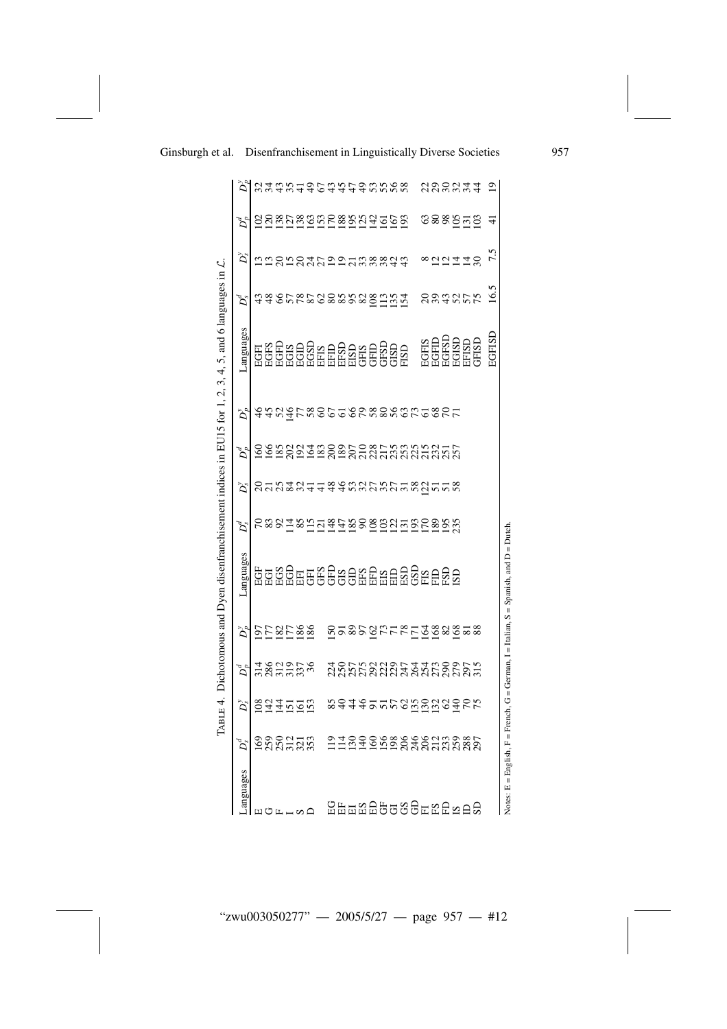"zwu003050277" — 2005/5/27 — page 957 — #12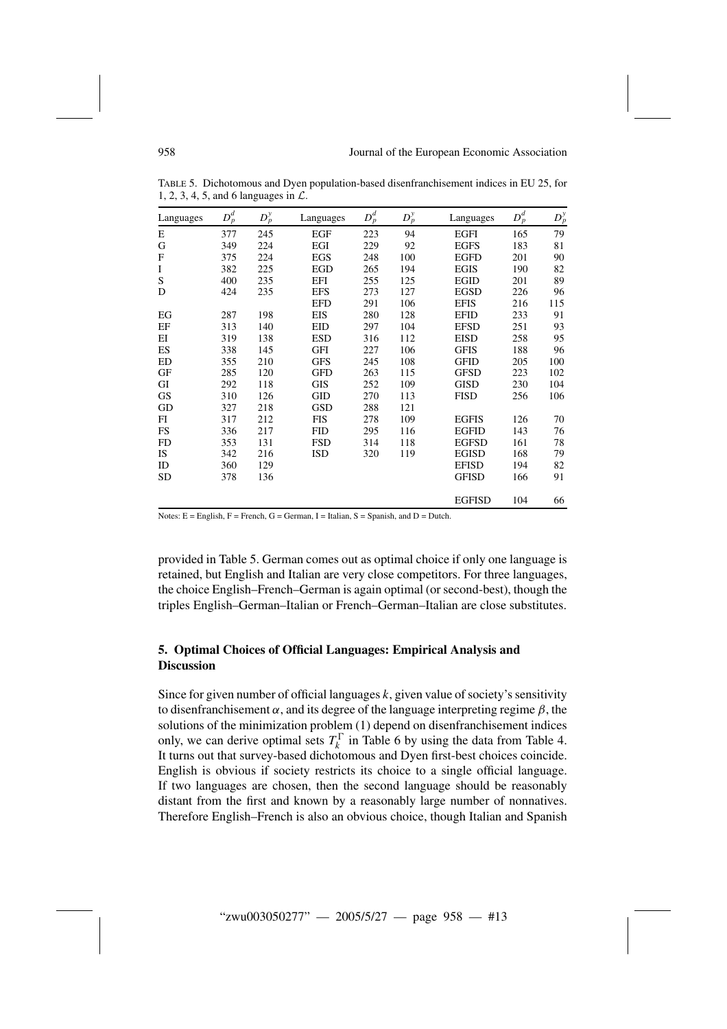| Languages | $D_p^d$ | $D_p^y$ | Languages  | $D_p^d$ | $D_p^y$ | Languages     | $D_p^d$ | $D_p^y$ |
|-----------|---------|---------|------------|---------|---------|---------------|---------|---------|
| E         | 377     | 245     | <b>EGF</b> | 223     | 94      | <b>EGFI</b>   | 165     | 79      |
| G         | 349     | 224     | EGI        | 229     | 92      | <b>EGFS</b>   | 183     | 81      |
| F         | 375     | 224     | EGS        | 248     | 100     | <b>EGFD</b>   | 201     | 90      |
| I         | 382     | 225     | <b>EGD</b> | 265     | 194     | <b>EGIS</b>   | 190     | 82      |
| S         | 400     | 235     | EFI        | 255     | 125     | EGID          | 201     | 89      |
| D         | 424     | 235     | <b>EFS</b> | 273     | 127     | EGSD          | 226     | 96      |
|           |         |         | <b>EFD</b> | 291     | 106     | <b>EFIS</b>   | 216     | 115     |
| EG        | 287     | 198     | <b>EIS</b> | 280     | 128     | <b>EFID</b>   | 233     | 91      |
| EF        | 313     | 140     | EID        | 297     | 104     | <b>EFSD</b>   | 251     | 93      |
| EI        | 319     | 138     | <b>ESD</b> | 316     | 112     | <b>EISD</b>   | 258     | 95      |
| ES        | 338     | 145     | GFI        | 227     | 106     | <b>GFIS</b>   | 188     | 96      |
| ED        | 355     | 210     | <b>GFS</b> | 245     | 108     | GFID          | 205     | 100     |
| GF        | 285     | 120     | <b>GFD</b> | 263     | 115     | GFSD          | 223     | 102     |
| GI        | 292     | 118     | GIS        | 252     | 109     | <b>GISD</b>   | 230     | 104     |
| GS        | 310     | 126     | GID        | 270     | 113     | <b>FISD</b>   | 256     | 106     |
| GD        | 327     | 218     | <b>GSD</b> | 288     | 121     |               |         |         |
| FI        | 317     | 212     | <b>FIS</b> | 278     | 109     | <b>EGFIS</b>  | 126     | 70      |
| FS        | 336     | 217     | <b>FID</b> | 295     | 116     | <b>EGFID</b>  | 143     | 76      |
| FD        | 353     | 131     | <b>FSD</b> | 314     | 118     | <b>EGFSD</b>  | 161     | 78      |
| IS        | 342     | 216     | <b>ISD</b> | 320     | 119     | <b>EGISD</b>  | 168     | 79      |
| ID        | 360     | 129     |            |         |         | <b>EFISD</b>  | 194     | 82      |
| SD        | 378     | 136     |            |         |         | GFISD         | 166     | 91      |
|           |         |         |            |         |         |               |         |         |
|           |         |         |            |         |         | <b>EGFISD</b> | 104     | 66      |

Table 5. Dichotomous and Dyen population-based disenfranchisement indices in EU 25, for 1, 2, 3, 4, 5, and 6 languages in L.

Notes:  $E =$  English,  $F =$  French,  $G =$  German,  $I =$  Italian,  $S =$  Spanish, and  $D =$  Dutch.

provided in Table 5. German comes out as optimal choice if only one language is retained, but English and Italian are very close competitors. For three languages, the choice English–French–German is again optimal (or second-best), though the triples English–German–Italian or French–German–Italian are close substitutes.

# **5. Optimal Choices of Official Languages: Empirical Analysis and Discussion**

Since for given number of official languages *k*, given value of society's sensitivity to disenfranchisement *α*, and its degree of the language interpreting regime *β*, the solutions of the minimization problem (1) depend on disenfranchisement indices only, we can derive optimal sets  $T_k^{\Gamma}$  in Table 6 by using the data from Table 4. It turns out that survey-based dichotomous and Dyen first-best choices coincide. English is obvious if society restricts its choice to a single official language. If two languages are chosen, then the second language should be reasonably distant from the first and known by a reasonably large number of nonnatives. Therefore English–French is also an obvious choice, though Italian and Spanish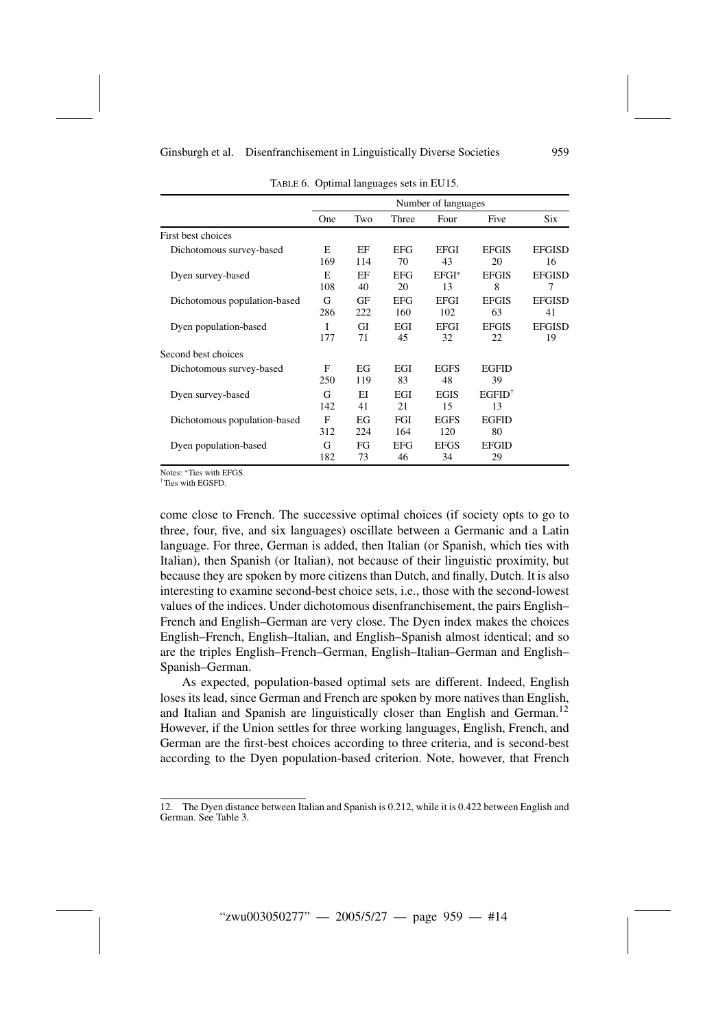Ginsburgh et al. Disenfranchisement in Linguistically Diverse Societies 959

|                              | Number of languages |           |                   |                    |                          |                     |  |
|------------------------------|---------------------|-----------|-------------------|--------------------|--------------------------|---------------------|--|
|                              | One                 | Two       | Three             | Four               | Five                     | Six                 |  |
| First best choices           |                     |           |                   |                    |                          |                     |  |
| Dichotomous survey-based     | Е<br>169            | ΕF<br>114 | <b>EFG</b><br>70  | <b>EFGI</b><br>43  | <b>EFGIS</b><br>20       | <b>EFGISD</b><br>16 |  |
| Dyen survey-based            | Е<br>108            | ΕF<br>40  | EFG<br>20         | $EFGI^*$<br>13     | <b>EFGIS</b><br>8        | <b>EFGISD</b><br>7  |  |
| Dichotomous population-based | G<br>286            | GF<br>222 | <b>EFG</b><br>160 | <b>EFGI</b><br>102 | <b>EFGIS</b><br>63       | <b>EFGISD</b><br>41 |  |
| Dyen population-based        | Ī<br>177            | GI<br>71  | EGI<br>45         | <b>EFGI</b><br>32  | <b>EFGIS</b><br>22       | <b>EFGISD</b><br>19 |  |
| Second best choices          |                     |           |                   |                    |                          |                     |  |
| Dichotomous survey-based     | F<br>250            | EG<br>119 | EGI<br>83         | <b>EGFS</b><br>48  | <b>EGFID</b><br>39       |                     |  |
| Dyen survey-based            | G<br>142            | ΕI<br>41  | EGI<br>21         | <b>EGIS</b><br>15  | EGFID <sup>†</sup><br>13 |                     |  |
| Dichotomous population-based | F<br>312            | EG<br>224 | FGI<br>164        | <b>EGFS</b><br>120 | <b>EGFID</b><br>80       |                     |  |
| Dyen population-based        | G<br>182            | FG<br>73  | <b>EFG</b><br>46  | <b>EFGS</b><br>34  | <b>EFGID</b><br>29       |                     |  |

Table 6. Optimal languages sets in EU15.

Notes: <sup>∗</sup>Ties with EFGS. †Ties with EGSFD.

come close to French. The successive optimal choices (if society opts to go to three, four, five, and six languages) oscillate between a Germanic and a Latin language. For three, German is added, then Italian (or Spanish, which ties with Italian), then Spanish (or Italian), not because of their linguistic proximity, but because they are spoken by more citizens than Dutch, and finally, Dutch. It is also interesting to examine second-best choice sets, i.e., those with the second-lowest values of the indices. Under dichotomous disenfranchisement, the pairs English– French and English–German are very close. The Dyen index makes the choices English–French, English–Italian, and English–Spanish almost identical; and so are the triples English–French–German, English–Italian–German and English– Spanish–German.

As expected, population-based optimal sets are different. Indeed, English loses its lead, since German and French are spoken by more natives than English, and Italian and Spanish are linguistically closer than English and German.<sup>12</sup> However, if the Union settles for three working languages, English, French, and German are the first-best choices according to three criteria, and is second-best according to the Dyen population-based criterion. Note, however, that French

<sup>12.</sup> The Dyen distance between Italian and Spanish is 0.212, while it is 0.422 between English and German. See Table 3.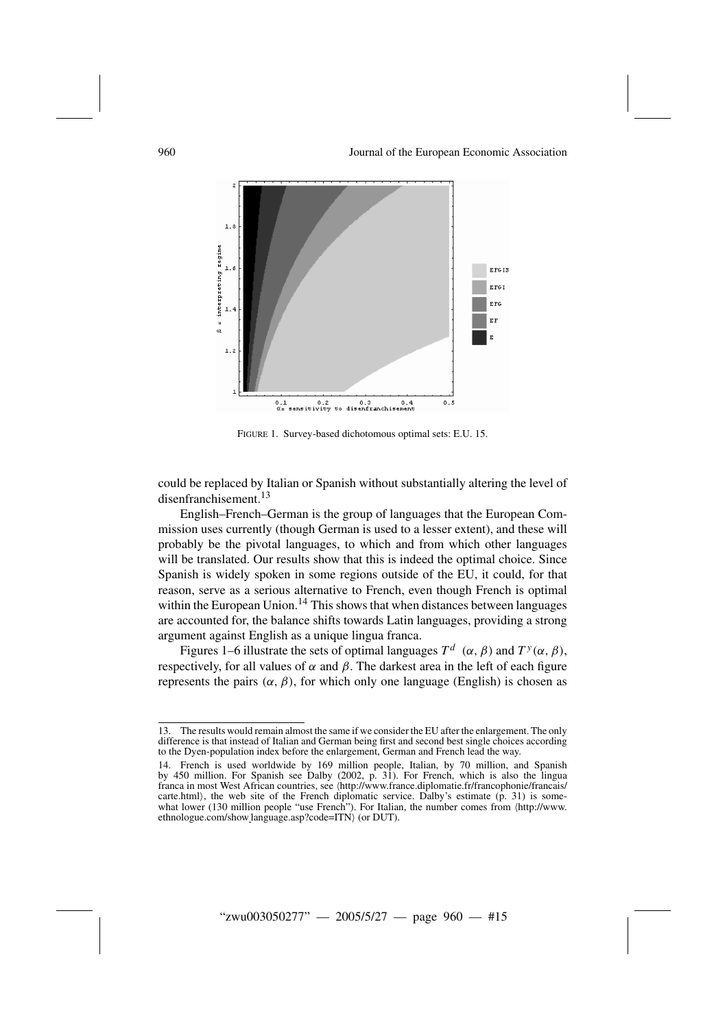

Figure 1. Survey-based dichotomous optimal sets: E.U. 15.

could be replaced by Italian or Spanish without substantially altering the level of disenfranchisement.<sup>13</sup>

English–French–German is the group of languages that the European Commission uses currently (though German is used to a lesser extent), and these will probably be the pivotal languages, to which and from which other languages will be translated. Our results show that this is indeed the optimal choice. Since Spanish is widely spoken in some regions outside of the EU, it could, for that reason, serve as a serious alternative to French, even though French is optimal within the European Union.<sup>14</sup> This shows that when distances between languages are accounted for, the balance shifts towards Latin languages, providing a strong argument against English as a unique lingua franca.

Figures 1–6 illustrate the sets of optimal languages  $T^d$  ( $\alpha$ ,  $\beta$ ) and  $T^y(\alpha, \beta)$ , respectively, for all values of *α* and *β*. The darkest area in the left of each figure represents the pairs *(α, β)*, for which only one language (English) is chosen as

<sup>13.</sup> The results would remain almost the same if we consider the EU after the enlargement. The only difference is that instead of Italian and German being first and second best single choices according to the Dyen-population index before the enlargement, German and French lead the way.

<sup>14.</sup> French is used worldwide by 169 million people, Italian, by 70 million, and Spanish by 450 million. For Spanish see Dalby (2002, p. 31). For French, which is also the lingua franca in most West African countries, see http://www.france.diplomatie.fr/francophonie/francais/ carte.html, the web site of the French diplomatic service. Dalby's estimate (p. 31) is somewhat lower (130 million people "use French"). For Italian, the number comes from  $\hbar v / \hbar w w$ . ethnologue.com/show language.asp?code=ITN (or DUT).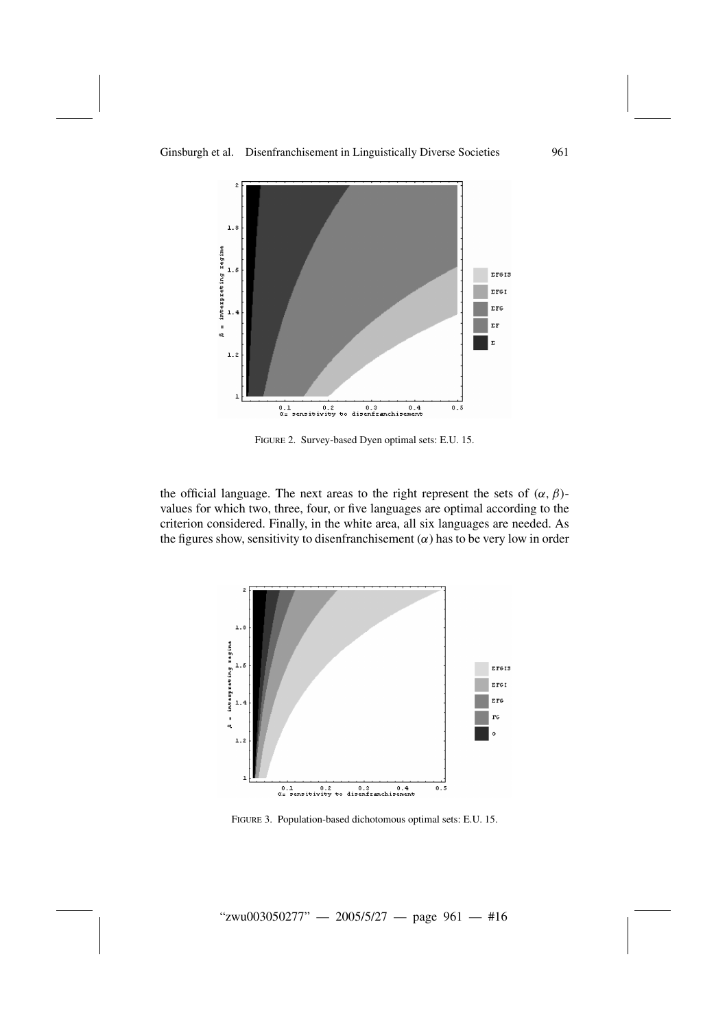

Figure 2. Survey-based Dyen optimal sets: E.U. 15.

the official language. The next areas to the right represent the sets of *(α, β)* values for which two, three, four, or five languages are optimal according to the criterion considered. Finally, in the white area, all six languages are needed. As the figures show, sensitivity to disenfranchisement (*α*) has to be very low in order



Figure 3. Population-based dichotomous optimal sets: E.U. 15.

"zwu003050277" — 2005/5/27 — page 961 — #16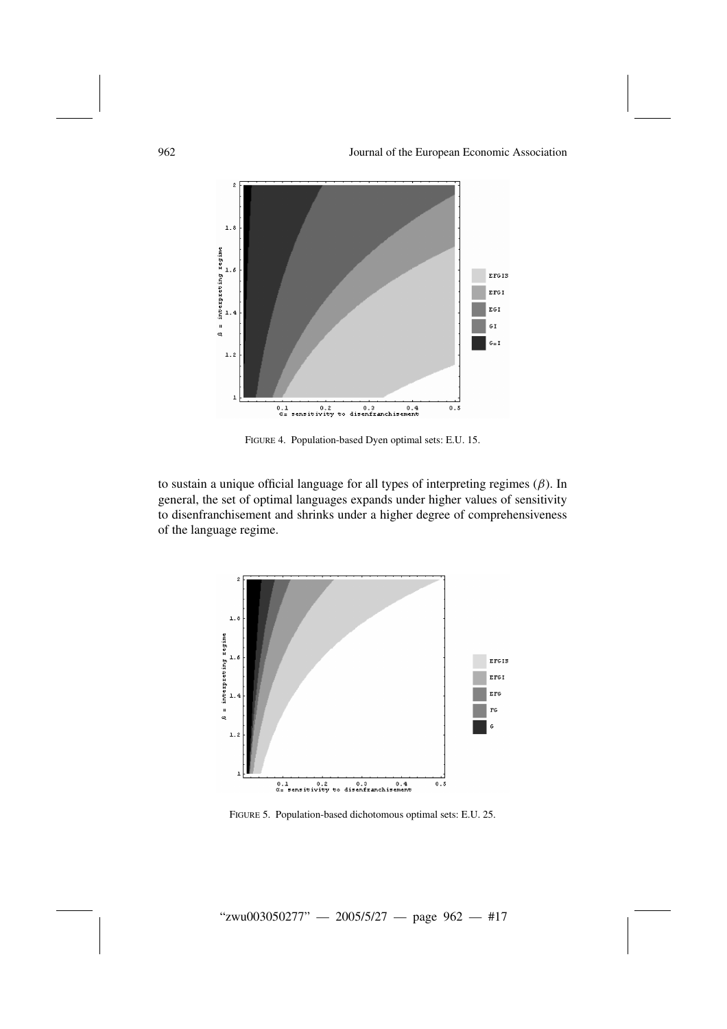962 Journal of the European Economic Association



Figure 4. Population-based Dyen optimal sets: E.U. 15.

to sustain a unique official language for all types of interpreting regimes (*β*). In general, the set of optimal languages expands under higher values of sensitivity to disenfranchisement and shrinks under a higher degree of comprehensiveness of the language regime.



Figure 5. Population-based dichotomous optimal sets: E.U. 25.

"zwu003050277" — 2005/5/27 — page 962 — #17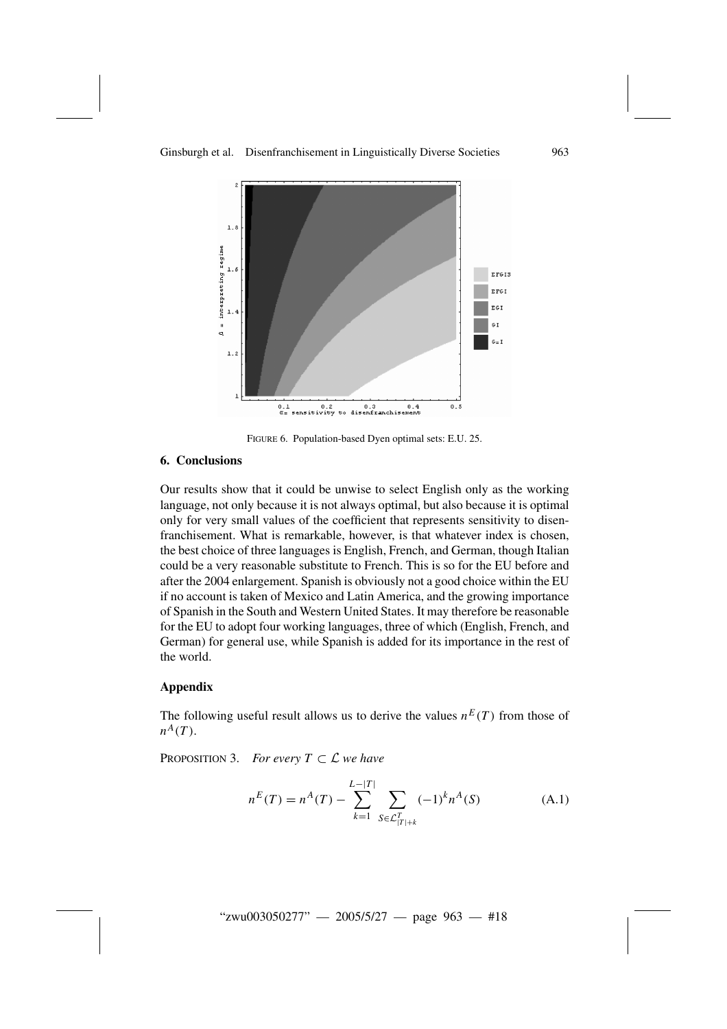

Figure 6. Population-based Dyen optimal sets: E.U. 25.

## **6. Conclusions**

Our results show that it could be unwise to select English only as the working language, not only because it is not always optimal, but also because it is optimal only for very small values of the coefficient that represents sensitivity to disenfranchisement. What is remarkable, however, is that whatever index is chosen, the best choice of three languages is English, French, and German, though Italian could be a very reasonable substitute to French. This is so for the EU before and after the 2004 enlargement. Spanish is obviously not a good choice within the EU if no account is taken of Mexico and Latin America, and the growing importance of Spanish in the South and Western United States. It may therefore be reasonable for the EU to adopt four working languages, three of which (English, French, and German) for general use, while Spanish is added for its importance in the rest of the world.

## **Appendix**

The following useful result allows us to derive the values  $n^{E}(T)$  from those of  $n^A(T)$ .

PROPOSITION 3. *For every*  $T \subset \mathcal{L}$  *we have* 

$$
n^{E}(T) = n^{A}(T) - \sum_{k=1}^{L-|T|} \sum_{S \in \mathcal{L}_{|T|+k}^{T}} (-1)^{k} n^{A}(S)
$$
 (A.1)

"zwu003050277" — 2005/5/27 — page 963 — #18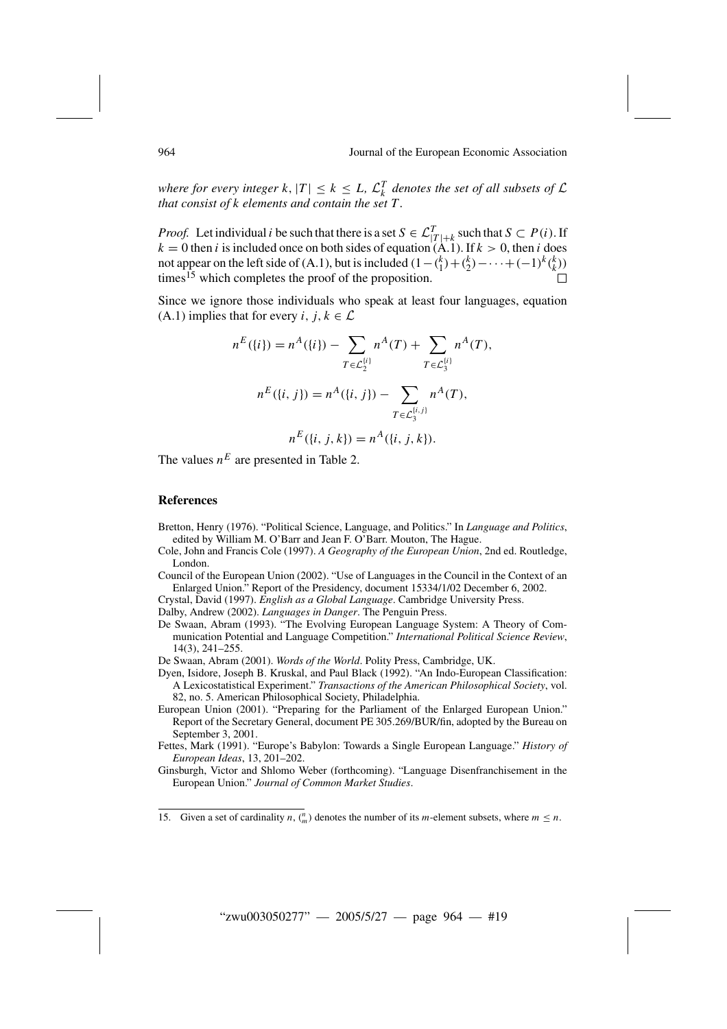*where for every integer*  $k$ ,  $|T| \leq k \leq L$ ,  $\mathcal{L}_k^T$  *denotes the set of all subsets of*  $\mathcal{L}$ *that consist of k elements and contain the set T .*

*Proof.* Let individual *i* be such that there is a set  $S \in \mathcal{L}^T_{|T|+k}$  such that  $S \subset P(i)$ . If  $k = 0$  then *i* is included once on both sides of equation  $(A.1)$ . If  $k > 0$ , then *i* does not appear on the left side of  $(A.1)$ , but is included  $(1 - {k \choose 1} + {k \choose 2} - \cdots + (-1)^k {k \choose k}$ times<sup>15</sup> which completes the proof of the proposition.

Since we ignore those individuals who speak at least four languages, equation (A.1) implies that for every *i*,  $j, k \in \mathcal{L}$ 

$$
n^{E}(\{i\}) = n^{A}(\{i\}) - \sum_{T \in \mathcal{L}_{2}^{\{i\}}} n^{A}(T) + \sum_{T \in \mathcal{L}_{3}^{\{i\}}} n^{A}(T),
$$

$$
n^{E}(\{i, j\}) = n^{A}(\{i, j\}) - \sum_{T \in \mathcal{L}_{3}^{\{i, j\}}} n^{A}(T),
$$

$$
n^{E}(\{i, j, k\}) = n^{A}(\{i, j, k\}).
$$

The values  $n^E$  are presented in Table 2.

#### **References**

- Bretton, Henry (1976). "Political Science, Language, and Politics." In *Language and Politics*, edited by William M. O'Barr and Jean F. O'Barr. Mouton, The Hague.
- Cole, John and Francis Cole (1997). *A Geography of the European Union*, 2nd ed. Routledge, London.
- Council of the European Union (2002). "Use of Languages in the Council in the Context of an Enlarged Union." Report of the Presidency, document 15334/1/02 December 6, 2002.
- Crystal, David (1997). *English as a Global Language*. Cambridge University Press.

Dalby, Andrew (2002). *Languages in Danger*. The Penguin Press.

De Swaan, Abram (1993). "The Evolving European Language System: A Theory of Communication Potential and Language Competition." *International Political Science Review*, 14(3), 241–255.

De Swaan, Abram (2001). *Words of the World*. Polity Press, Cambridge, UK.

- Dyen, Isidore, Joseph B. Kruskal, and Paul Black (1992). "An Indo-European Classification: A Lexicostatistical Experiment." *Transactions of the American Philosophical Society*, vol. 82, no. 5. American Philosophical Society, Philadelphia.
- European Union (2001). "Preparing for the Parliament of the Enlarged European Union." Report of the Secretary General, document PE 305.269/BUR/fin, adopted by the Bureau on September 3, 2001.
- Fettes, Mark (1991). "Europe's Babylon: Towards a Single European Language." *History of European Ideas*, 13, 201–202.
- Ginsburgh, Victor and Shlomo Weber (forthcoming). "Language Disenfranchisement in the European Union." *Journal of Common Market Studies*.

<sup>15.</sup> Given a set of cardinality *n*,  $\binom{n}{m}$  denotes the number of its *m*-element subsets, where  $m \le n$ .